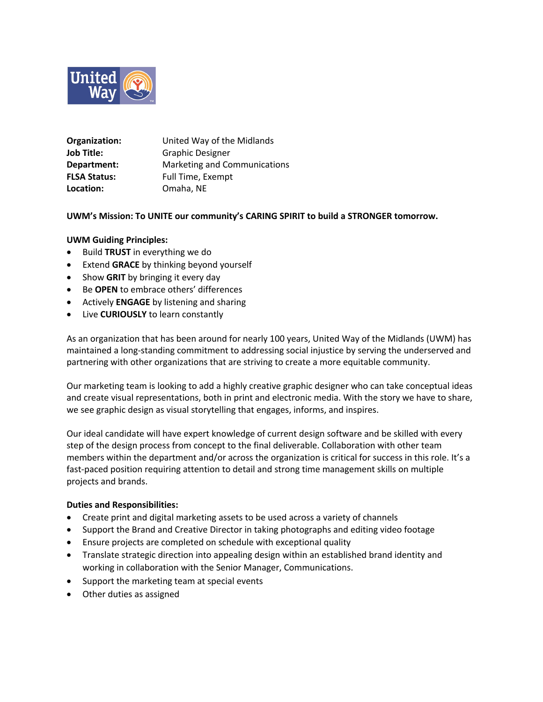

| Organization:       | United Way of the Midlands   |
|---------------------|------------------------------|
| Job Title:          | <b>Graphic Designer</b>      |
| Department:         | Marketing and Communications |
| <b>FLSA Status:</b> | Full Time, Exempt            |
| Location:           | Omaha, NE                    |

# **UWM's Mission: To UNITE our community's CARING SPIRIT to build a STRONGER tomorrow.**

# **UWM Guiding Principles:**

- Build **TRUST** in everything we do
- Extend **GRACE** by thinking beyond yourself
- Show **GRIT** by bringing it every day
- Be **OPEN** to embrace others' differences
- Actively **ENGAGE** by listening and sharing
- Live **CURIOUSLY** to learn constantly

As an organization that has been around for nearly 100 years, United Way of the Midlands (UWM) has maintained a long-standing commitment to addressing social injustice by serving the underserved and partnering with other organizations that are striving to create a more equitable community.

Our marketing team is looking to add a highly creative graphic designer who can take conceptual ideas and create visual representations, both in print and electronic media. With the story we have to share, we see graphic design as visual storytelling that engages, informs, and inspires.

Our ideal candidate will have expert knowledge of current design software and be skilled with every step of the design process from concept to the final deliverable. Collaboration with other team members within the department and/or across the organization is critical for success in this role. It's a fast-paced position requiring attention to detail and strong time management skills on multiple projects and brands.

# **Duties and Responsibilities:**

- Create print and digital marketing assets to be used across a variety of channels
- Support the Brand and Creative Director in taking photographs and editing video footage
- Ensure projects are completed on schedule with exceptional quality
- Translate strategic direction into appealing design within an established brand identity and working in collaboration with the Senior Manager, Communications.
- Support the marketing team at special events
- Other duties as assigned